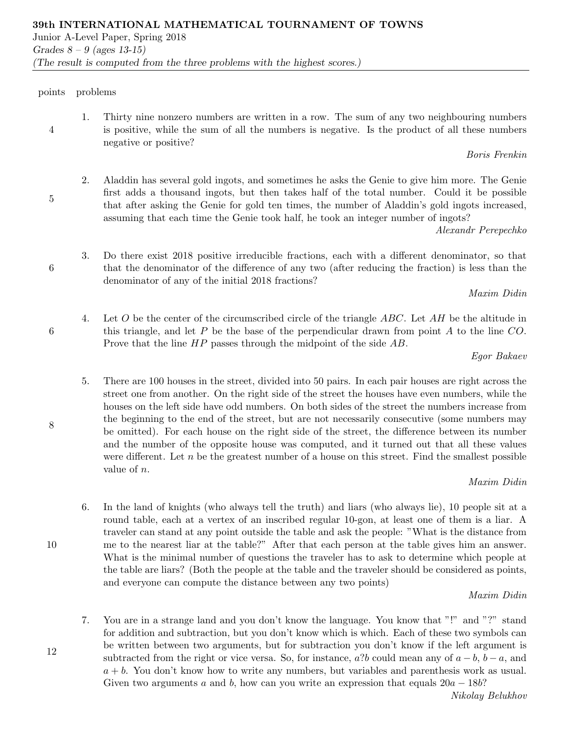points problems

4

5

6

6

8

1. Thirty nine nonzero numbers are written in a row. The sum of any two neighbouring numbers is positive, while the sum of all the numbers is negative. Is the product of all these numbers negative or positive?

Boris Frenkin

2. Aladdin has several gold ingots, and sometimes he asks the Genie to give him more. The Genie first adds a thousand ingots, but then takes half of the total number. Could it be possible that after asking the Genie for gold ten times, the number of Aladdin's gold ingots increased, assuming that each time the Genie took half, he took an integer number of ingots?

Alexandr Perepechko

3. Do there exist 2018 positive irreducible fractions, each with a different denominator, so that that the denominator of the difference of any two (after reducing the fraction) is less than the denominator of any of the initial 2018 fractions?

Maxim Didin

4. Let O be the center of the circumscribed circle of the triangle  $ABC$ . Let AH be the altitude in this triangle, and let  $P$  be the base of the perpendicular drawn from point  $A$  to the line  $CO$ . Prove that the line  $HP$  passes through the midpoint of the side AB.

## Egor Bakaev

5. There are 100 houses in the street, divided into 50 pairs. In each pair houses are right across the street one from another. On the right side of the street the houses have even numbers, while the houses on the left side have odd numbers. On both sides of the street the numbers increase from the beginning to the end of the street, but are not necessarily consecutive (some numbers may be omitted). For each house on the right side of the street, the difference between its number and the number of the opposite house was computed, and it turned out that all these values were different. Let  $n$  be the greatest number of a house on this street. Find the smallest possible value of n.

# Maxim Didin

6. In the land of knights (who always tell the truth) and liars (who always lie), 10 people sit at a round table, each at a vertex of an inscribed regular 10-gon, at least one of them is a liar. A traveler can stand at any point outside the table and ask the people: "What is the distance from me to the nearest liar at the table?" After that each person at the table gives him an answer. What is the minimal number of questions the traveler has to ask to determine which people at the table are liars? (Both the people at the table and the traveler should be considered as points, and everyone can compute the distance between any two points)

# Maxim Didin

7. You are in a strange land and you don't know the language. You know that "!" and "?" stand for addition and subtraction, but you don't know which is which. Each of these two symbols can be written between two arguments, but for subtraction you don't know if the left argument is subtracted from the right or vice versa. So, for instance,  $a$ ?b could mean any of  $a - b$ ,  $b - a$ , and  $a + b$ . You don't know how to write any numbers, but variables and parenthesis work as usual. Given two arguments a and b, how can you write an expression that equals  $20a - 18b$ ?

10